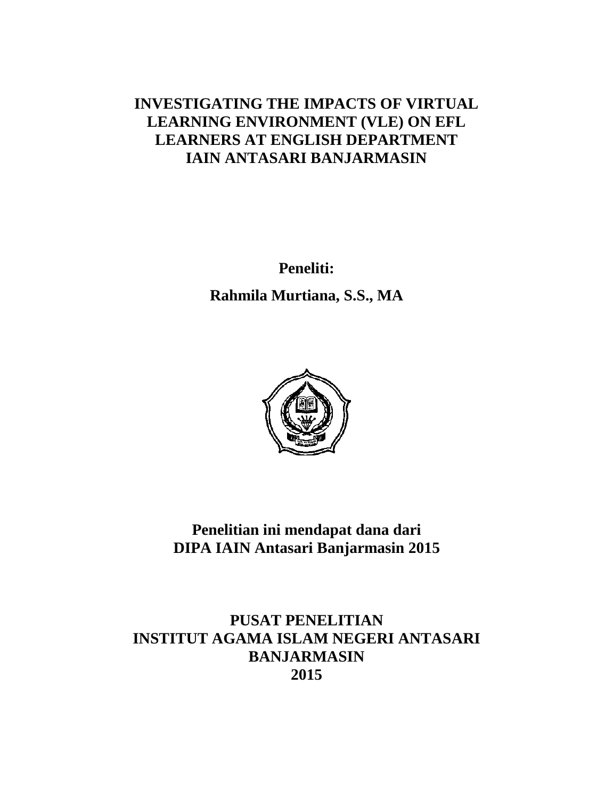# **INVESTIGATING THE IMPACTS OF VIRTUAL LEARNING ENVIRONMENT (VLE) ON EFL LEARNERS AT ENGLISH DEPARTMENT IAIN ANTASARI BANJARMASIN**

**Peneliti: Rahmila Murtiana, S.S., MA**



**Penelitian ini mendapat dana dari DIPA IAIN Antasari Banjarmasin 2015**

**PUSAT PENELITIAN INSTITUT AGAMA ISLAM NEGERI ANTASARI BANJARMASIN 2015**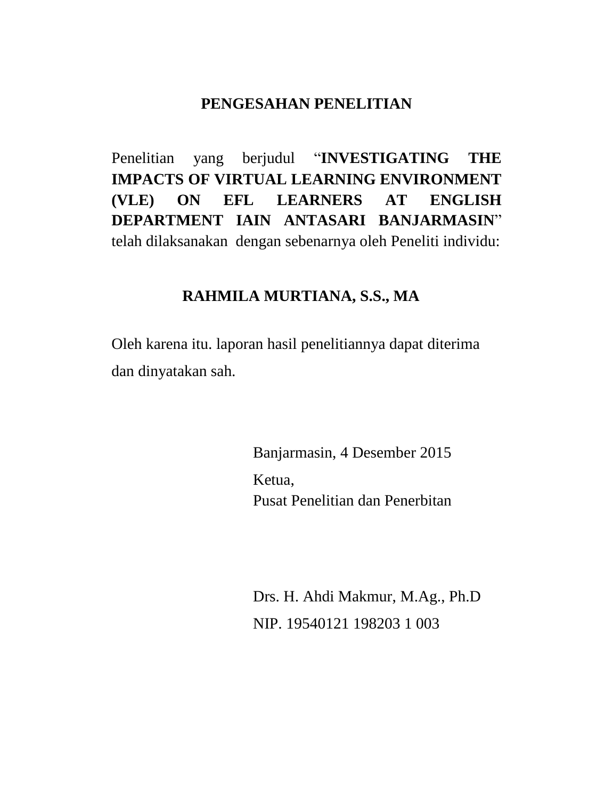### **PENGESAHAN PENELITIAN**

Penelitian yang berjudul "**INVESTIGATING THE IMPACTS OF VIRTUAL LEARNING ENVIRONMENT (VLE) ON EFL LEARNERS AT ENGLISH DEPARTMENT IAIN ANTASARI BANJARMASIN**" telah dilaksanakan dengan sebenarnya oleh Peneliti individu:

### **RAHMILA MURTIANA, S.S., MA**

Oleh karena itu. laporan hasil penelitiannya dapat diterima dan dinyatakan sah.

> Banjarmasin, 4 Desember 2015 Ketua, Pusat Penelitian dan Penerbitan

Drs. H. Ahdi Makmur, M.Ag., Ph.D NIP. 19540121 198203 1 003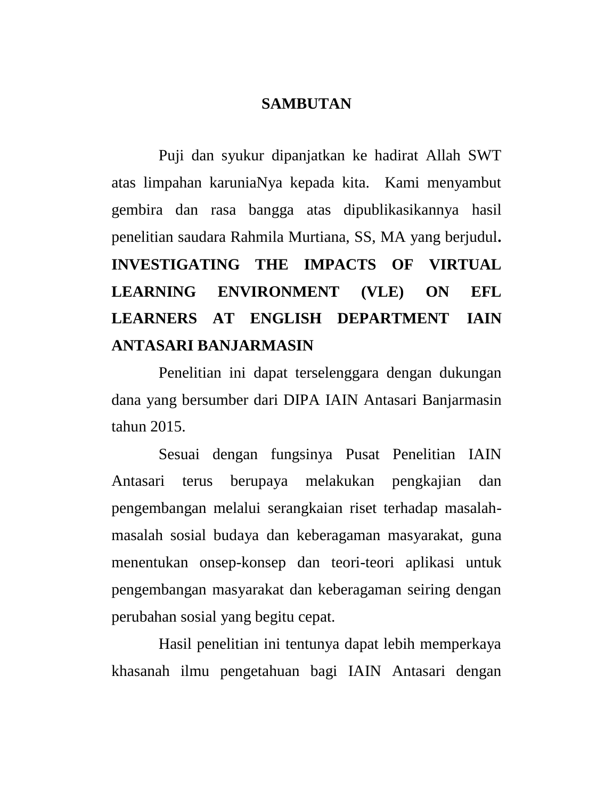#### **SAMBUTAN**

Puji dan syukur dipanjatkan ke hadirat Allah SWT atas limpahan karuniaNya kepada kita. Kami menyambut gembira dan rasa bangga atas dipublikasikannya hasil penelitian saudara Rahmila Murtiana, SS, MA yang berjudul**. INVESTIGATING THE IMPACTS OF VIRTUAL LEARNING ENVIRONMENT (VLE) ON EFL LEARNERS AT ENGLISH DEPARTMENT IAIN ANTASARI BANJARMASIN**

Penelitian ini dapat terselenggara dengan dukungan dana yang bersumber dari DIPA IAIN Antasari Banjarmasin tahun 2015.

Sesuai dengan fungsinya Pusat Penelitian IAIN Antasari terus berupaya melakukan pengkajian dan pengembangan melalui serangkaian riset terhadap masalahmasalah sosial budaya dan keberagaman masyarakat, guna menentukan onsep-konsep dan teori-teori aplikasi untuk pengembangan masyarakat dan keberagaman seiring dengan perubahan sosial yang begitu cepat.

Hasil penelitian ini tentunya dapat lebih memperkaya khasanah ilmu pengetahuan bagi IAIN Antasari dengan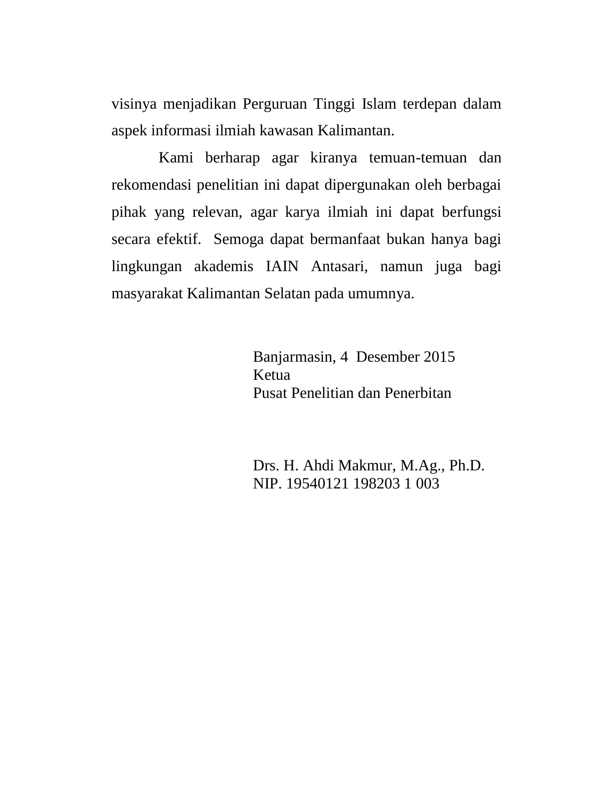visinya menjadikan Perguruan Tinggi Islam terdepan dalam aspek informasi ilmiah kawasan Kalimantan.

Kami berharap agar kiranya temuan-temuan dan rekomendasi penelitian ini dapat dipergunakan oleh berbagai pihak yang relevan, agar karya ilmiah ini dapat berfungsi secara efektif. Semoga dapat bermanfaat bukan hanya bagi lingkungan akademis IAIN Antasari, namun juga bagi masyarakat Kalimantan Selatan pada umumnya.

> Banjarmasin, 4 Desember 2015 Ketua Pusat Penelitian dan Penerbitan

Drs. H. Ahdi Makmur, M.Ag., Ph.D. NIP. 19540121 198203 1 003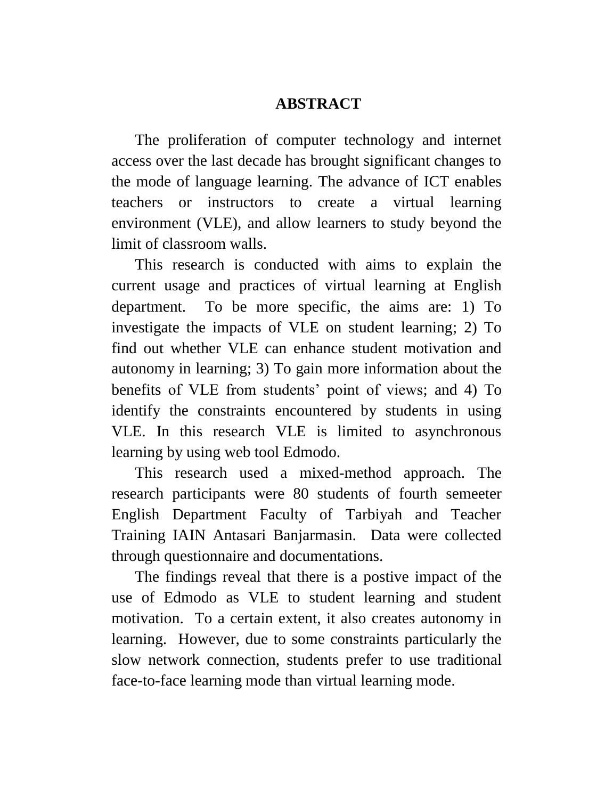### **ABSTRACT**

The proliferation of computer technology and internet access over the last decade has brought significant changes to the mode of language learning. The advance of ICT enables teachers or instructors to create a virtual learning environment (VLE), and allow learners to study beyond the limit of classroom walls.

This research is conducted with aims to explain the current usage and practices of virtual learning at English department. To be more specific, the aims are: 1) To investigate the impacts of VLE on student learning; 2) To find out whether VLE can enhance student motivation and autonomy in learning; 3) To gain more information about the benefits of VLE from students' point of views; and 4) To identify the constraints encountered by students in using VLE. In this research VLE is limited to asynchronous learning by using web tool Edmodo.

This research used a mixed-method approach. The research participants were 80 students of fourth semeeter English Department Faculty of Tarbiyah and Teacher Training IAIN Antasari Banjarmasin. Data were collected through questionnaire and documentations.

The findings reveal that there is a postive impact of the use of Edmodo as VLE to student learning and student motivation. To a certain extent, it also creates autonomy in learning. However, due to some constraints particularly the slow network connection, students prefer to use traditional face-to-face learning mode than virtual learning mode.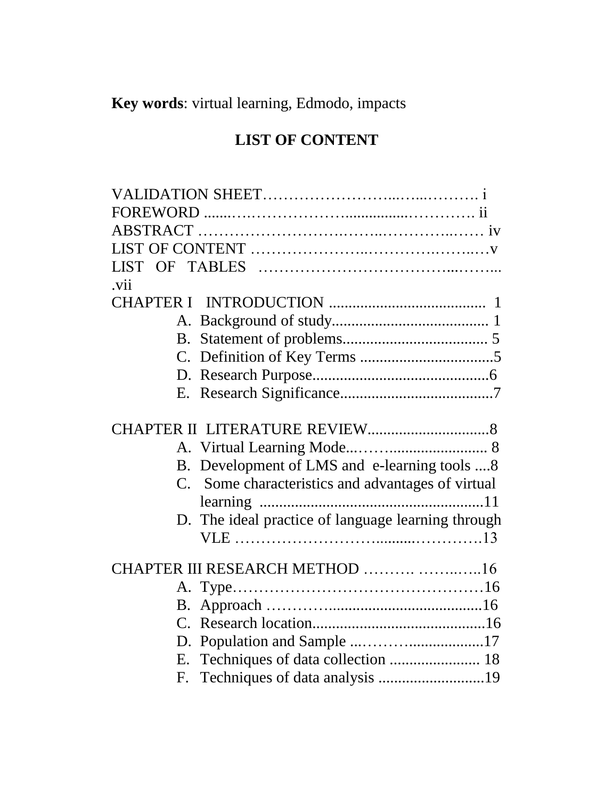**Key words**: virtual learning, Edmodo, impacts

# **LIST OF CONTENT**

| LIST.                                              |
|----------------------------------------------------|
| .vii                                               |
|                                                    |
|                                                    |
|                                                    |
|                                                    |
|                                                    |
|                                                    |
|                                                    |
|                                                    |
|                                                    |
| B. Development of LMS and e-learning tools 8       |
| C. Some characteristics and advantages of virtual  |
|                                                    |
| D. The ideal practice of language learning through |
|                                                    |
| CHAPTER III RESEARCH METHOD  16                    |
|                                                    |
| В.                                                 |
|                                                    |
|                                                    |
|                                                    |
|                                                    |
|                                                    |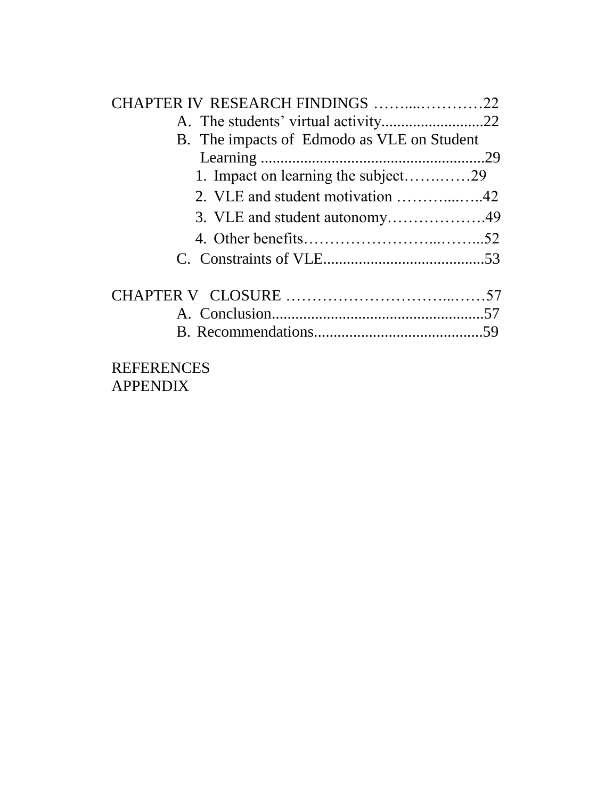| CHAPTER IV RESEARCH FINDINGS 22            |  |
|--------------------------------------------|--|
|                                            |  |
| B. The impacts of Edmodo as VLE on Student |  |
|                                            |  |
| 1. Impact on learning the subject29        |  |
|                                            |  |
| 3. VLE and student autonomy49              |  |
|                                            |  |
|                                            |  |
|                                            |  |
|                                            |  |
|                                            |  |
|                                            |  |

# REFERENCES APPENDIX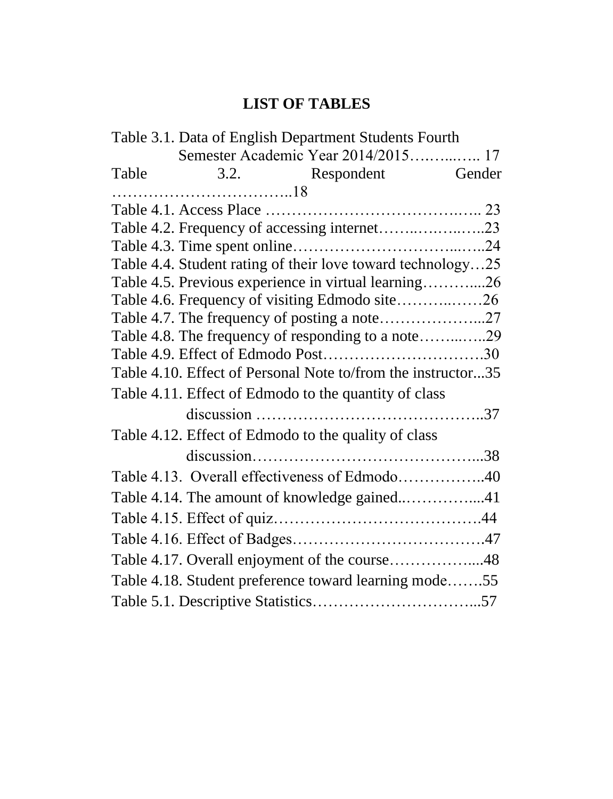# **LIST OF TABLES**

|       | Table 3.1. Data of English Department Students Fourth        |  |
|-------|--------------------------------------------------------------|--|
|       | Semester Academic Year 2014/2015 17                          |  |
| Table | 3.2. Respondent Gender                                       |  |
|       |                                                              |  |
|       |                                                              |  |
|       | Table 4.2. Frequency of accessing internet23                 |  |
|       |                                                              |  |
|       | Table 4.4. Student rating of their love toward technology25  |  |
|       | Table 4.5. Previous experience in virtual learning26         |  |
|       | Table 4.6. Frequency of visiting Edmodo site26               |  |
|       |                                                              |  |
|       | Table 4.8. The frequency of responding to a note29           |  |
|       |                                                              |  |
|       | Table 4.10. Effect of Personal Note to/from the instructor35 |  |
|       | Table 4.11. Effect of Edmodo to the quantity of class        |  |
|       |                                                              |  |
|       | Table 4.12. Effect of Edmodo to the quality of class         |  |
|       |                                                              |  |
|       | Table 4.13. Overall effectiveness of Edmodo40                |  |
|       | Table 4.14. The amount of knowledge gained41                 |  |
|       |                                                              |  |
|       |                                                              |  |
|       | Table 4.17. Overall enjoyment of the course48                |  |
|       | Table 4.18. Student preference toward learning mode55        |  |
|       |                                                              |  |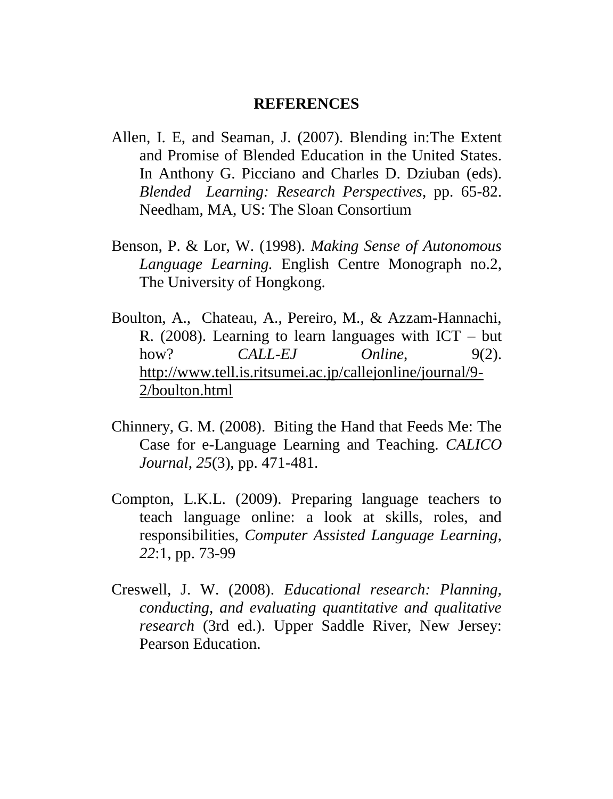#### **REFERENCES**

- Allen, I. E, and Seaman, J. (2007). Blending in:The Extent and Promise of Blended Education in the United States. In Anthony G. Picciano and Charles D. Dziuban (eds). *Blended Learning: Research Perspectives*, pp. 65-82. Needham, MA, US: The Sloan Consortium
- Benson, P. & Lor, W. (1998). *Making Sense of Autonomous Language Learning.* English Centre Monograph no.2, The University of Hongkong.
- Boulton, A., Chateau, A., Pereiro, M., & Azzam-Hannachi, R. (2008). Learning to learn languages with ICT – but how? *CALL-EJ Online*, 9(2). [http://www.tell.is.ritsumei.ac.jp/callejonline/journal/9-](http://www.tell.is.ritsumei.ac.jp/callejonline/journal/9-2/boulton.html) [2/boulton.html](http://www.tell.is.ritsumei.ac.jp/callejonline/journal/9-2/boulton.html)
- Chinnery, G. M. (2008). Biting the Hand that Feeds Me: The Case for e-Language Learning and Teaching. *CALICO Journal*, *25*(3), pp. 471-481.
- Compton, L.K.L. (2009). Preparing language teachers to teach language online: a look at skills, roles, and responsibilities, *Computer Assisted Language Learning, 22*:1, pp. 73-99
- Creswell, J. W. (2008). *Educational research: Planning, conducting, and evaluating quantitative and qualitative research* (3rd ed.). Upper Saddle River, New Jersey: Pearson Education.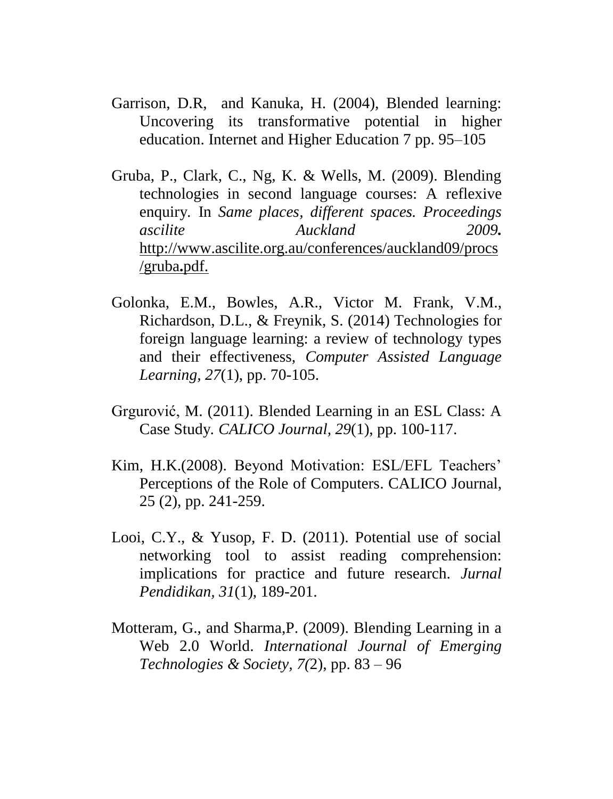- Garrison, D.R, and Kanuka, H. (2004), Blended learning: Uncovering its transformative potential in higher education. Internet and Higher Education 7 pp. 95–105
- Gruba, P., Clark, C., Ng, K. & Wells, M. (2009). Blending technologies in second language courses: A reflexive enquiry*.* In *Same places, different spaces. Proceedings ascilite Auckland 2009.* [http://www.ascilite.org.au/conferences/auckland09/procs](http://www.ascilite.org.au/conferences/auckland09/procs/gruba.pdf.) [/gruba](http://www.ascilite.org.au/conferences/auckland09/procs/gruba.pdf.)**.**pdf.
- Golonka, E.M., Bowles, A.R., Victor M. Frank, V.M., Richardson, D.L., & Freynik, S. (2014) Technologies for foreign language learning: a review of technology types and their effectiveness, *Computer Assisted Language Learning, 27*(1), pp. 70-105.
- Grgurović, M. (2011). Blended Learning in an ESL Class: A Case Study*. CALICO Journal, 29*(1), pp. 100-117.
- Kim, H.K.(2008). Beyond Motivation: ESL/EFL Teachers' Perceptions of the Role of Computers. CALICO Journal, 25 (2), pp. 241-259.
- Looi, C.Y., & Yusop, F. D. (2011). Potential use of social networking tool to assist reading comprehension: implications for practice and future research. *Jurnal Pendidikan, 31*(1), 189-201.
- Motteram, G., and Sharma,P. (2009). Blending Learning in a Web 2.0 World. *International Journal of Emerging Technologies & Society, 7(*2), pp. 83 – 96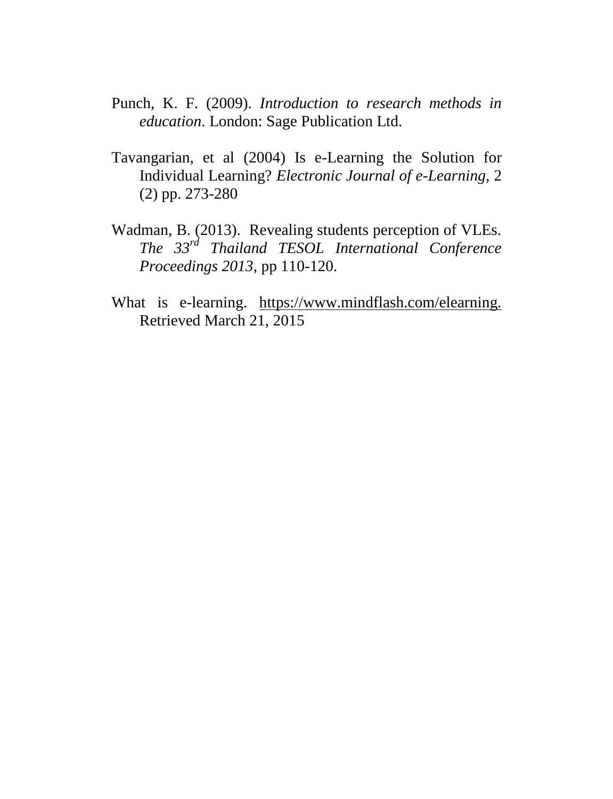- Punch, K. F. (2009). *Introduction to research methods in education*. London: Sage Publication Ltd.
- Tavangarian, et al (2004) Is e-Learning the Solution for Individual Learning? *Electronic Journal of e-Learning,* 2 (2) pp. 273-280
- Wadman, B. (2013). Revealing students perception of VLEs. *The 33rd Thailand TESOL International Conference Proceedings 2013*, pp 110-120.
- What is e-learning. <https://www.mindflash.com/elearning.> Retrieved March 21, 2015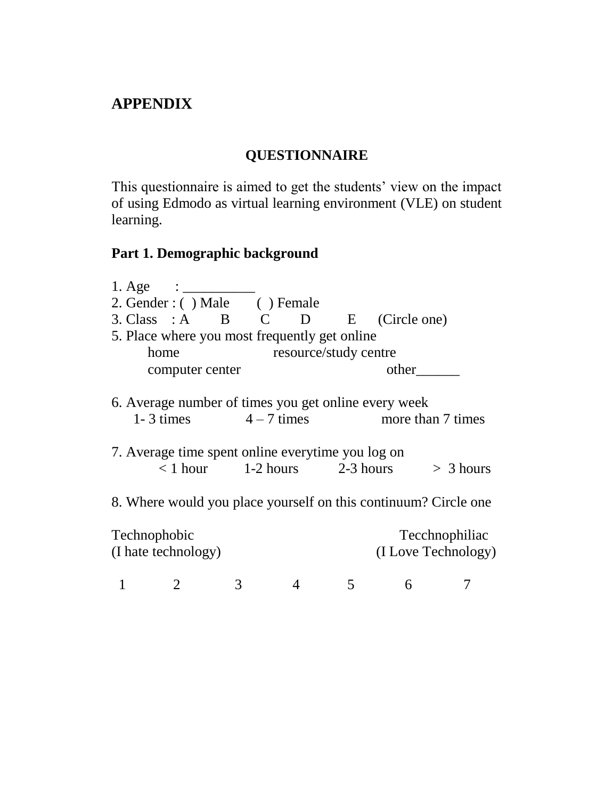# **APPENDIX**

# **QUESTIONNAIRE**

This questionnaire is aimed to get the students' view on the impact of using Edmodo as virtual learning environment (VLE) on student learning.

### **Part 1. Demographic background**

| 1. Age $\qquad \qquad \frac{1}{2}$                                                                        |   |                                      |   |   |                                                                 |
|-----------------------------------------------------------------------------------------------------------|---|--------------------------------------|---|---|-----------------------------------------------------------------|
| 2. Gender: () Male () Female                                                                              |   |                                      |   |   |                                                                 |
| 3. Class : A B C D E (Circle one)                                                                         |   |                                      |   |   |                                                                 |
| 5. Place where you most frequently get online<br>home                                                     |   | resource/study centre                |   |   |                                                                 |
| computer center                                                                                           |   |                                      |   |   | other                                                           |
| 6. Average number of times you get online every week<br>7. Average time spent online everytime you log on |   | $\langle$ 1 hour 1-2 hours 2-3 hours |   |   | 1-3 times $4-7$ times more than 7 times<br>$>$ 3 hours          |
|                                                                                                           |   |                                      |   |   | 8. Where would you place yourself on this continuum? Circle one |
| Technophobic<br>(I hate technology)                                                                       |   |                                      |   |   | Tecchnophiliac<br>(I Love Technology)                           |
|                                                                                                           | 3 | 4                                    | 5 | 6 |                                                                 |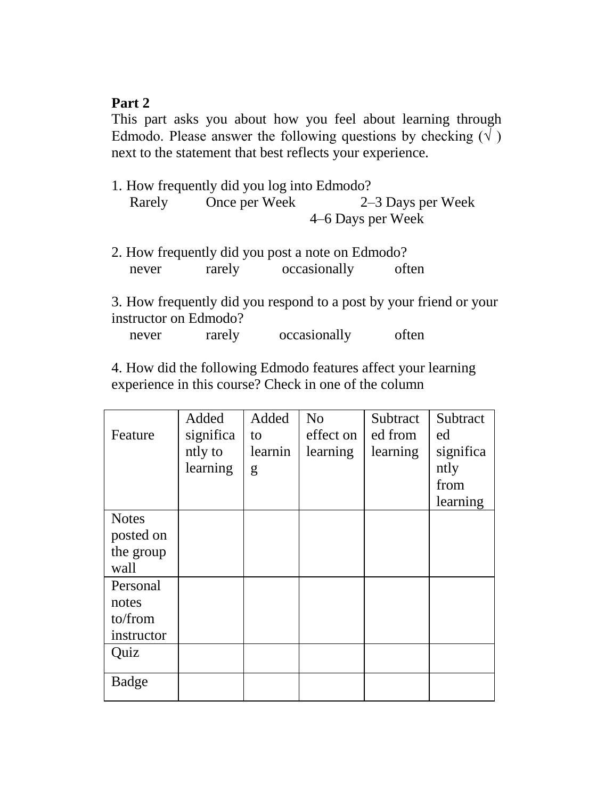### **Part 2**

This part asks you about how you feel about learning through Edmodo. Please answer the following questions by checking  $(\sqrt{})$ next to the statement that best reflects your experience.

- 1. How frequently did you log into Edmodo? Rarely Once per Week 2–3 Days per Week 4–6 Days per Week
- 2. How frequently did you post a note on Edmodo? never rarely occasionally often

3. How frequently did you respond to a post by your friend or your instructor on Edmodo?

never rarely occasionally often

4. How did the following Edmodo features affect your learning experience in this course? Check in one of the column

|              | Added     | Added   | N <sub>o</sub> | Subtract | Subtract  |
|--------------|-----------|---------|----------------|----------|-----------|
| Feature      | significa | to      | effect on      | ed from  | ed        |
|              | ntly to   | learnin | learning       | learning | significa |
|              | learning  | g       |                |          | ntly      |
|              |           |         |                |          | from      |
|              |           |         |                |          | learning  |
| <b>Notes</b> |           |         |                |          |           |
| posted on    |           |         |                |          |           |
| the group    |           |         |                |          |           |
| wall         |           |         |                |          |           |
| Personal     |           |         |                |          |           |
| notes        |           |         |                |          |           |
| to/from      |           |         |                |          |           |
| instructor   |           |         |                |          |           |
| Quiz         |           |         |                |          |           |
| Badge        |           |         |                |          |           |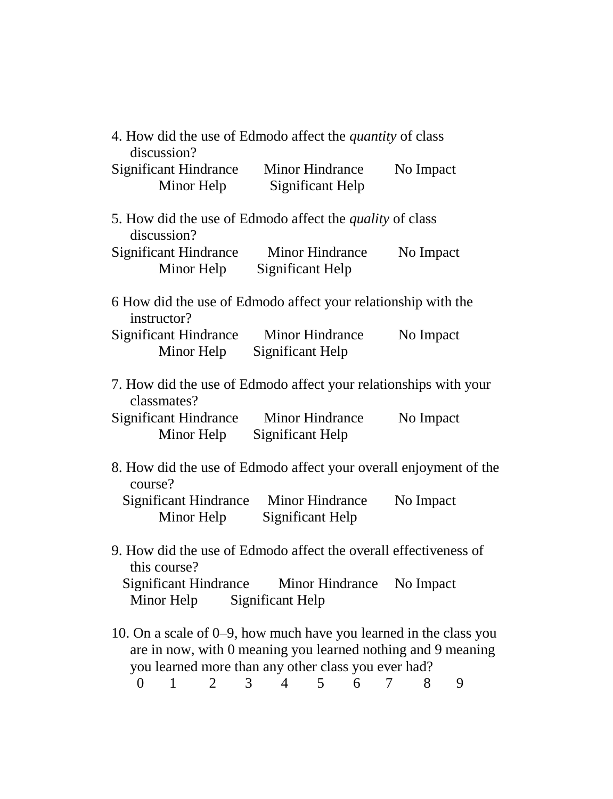| discussion?                                | 4. How did the use of Edmodo affect the <i>quantity</i> of class                                                                                                                         |             |
|--------------------------------------------|------------------------------------------------------------------------------------------------------------------------------------------------------------------------------------------|-------------|
| <b>Significant Hindrance</b><br>Minor Help | Minor Hindrance<br>Significant Help                                                                                                                                                      | No Impact   |
| discussion?                                | 5. How did the use of Edmodo affect the <i>quality</i> of class                                                                                                                          |             |
| <b>Significant Hindrance</b><br>Minor Help | Minor Hindrance<br>Significant Help                                                                                                                                                      | No Impact   |
| instructor?                                | 6 How did the use of Edmodo affect your relationship with the                                                                                                                            |             |
| <b>Significant Hindrance</b><br>Minor Help | Minor Hindrance<br>Significant Help                                                                                                                                                      | No Impact   |
| classmates?                                | 7. How did the use of Edmodo affect your relationships with your                                                                                                                         |             |
| <b>Significant Hindrance</b><br>Minor Help | Minor Hindrance<br>Significant Help                                                                                                                                                      | No Impact   |
| course?                                    | 8. How did the use of Edmodo affect your overall enjoyment of the                                                                                                                        |             |
| <b>Significant Hindrance</b><br>Minor Help | Minor Hindrance<br>Significant Help                                                                                                                                                      | No Impact   |
| this course?                               | 9. How did the use of Edmodo affect the overall effectiveness of                                                                                                                         |             |
| Significant Hindrance<br>Minor Help        | Minor Hindrance<br>Significant Help                                                                                                                                                      | No Impact   |
|                                            | 10. On a scale of 0–9, how much have you learned in the class you<br>are in now, with 0 meaning you learned nothing and 9 meaning<br>you learned more than any other class you ever had? |             |
| $\boldsymbol{0}$<br>1<br>2                 | 3<br>5<br>4<br>6                                                                                                                                                                         | 8<br>7<br>9 |